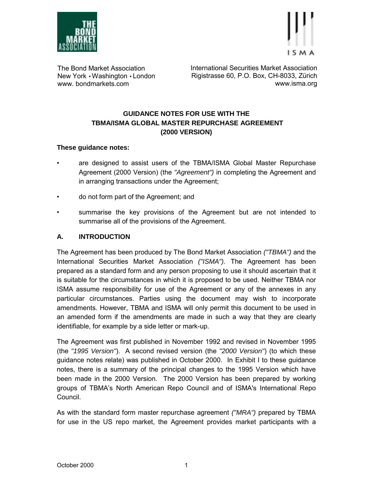

The Bond Market Association New York • Washington • London www. bondmarkets.com

International Securities Market Association Rigistrasse 60, P.O. Box, CH-8033, Zürich www.isma.org

# **GUIDANCE NOTES FOR USE WITH THE TBMA/ISMA GLOBAL MASTER REPURCHASE AGREEMENT (2000 VERSION)**

## **These guidance notes:**

- are designed to assist users of the TBMA/ISMA Global Master Repurchase Agreement (2000 Version) (the *"Agreement")* in completing the Agreement and in arranging transactions under the Agreement;
- do not form part of the Agreement; and
- summarise the key provisions of the Agreement but are not intended to summarise all of the provisions of the Agreement.

## **A. INTRODUCTION**

The Agreement has been produced by The Bond Market Association *("TBMA")* and the International Securities Market Association *("ISMA").* The Agreement has been prepared as a standard form and any person proposing to use it should ascertain that it is suitable for the circumstances in which it is proposed to be used. Neither TBMA nor ISMA assume responsibility for use of the Agreement or any of the annexes in any particular circumstances. Parties using the document may wish to incorporate amendments. However, TBMA and ISMA will only permit this document to be used in an amended form if the amendments are made in such a way that they are clearly identifiable, for example by a side letter or mark-up.

The Agreement was first published in November 1992 and revised in November 1995 (the *"1995 Version"*). A second revised version (the *"2000 Version"*) (to which these guidance notes relate) was published in October 2000. In Exhibit I to these guidance notes, there is a summary of the principal changes to the 1995 Version which have been made in the 2000 Version. The 2000 Version has been prepared by working groups of TBMAís North American Repo Council and of ISMA's International Repo Council.

As with the standard form master repurchase agreement *("MRA")* prepared by TBMA for use in the US repo market, the Agreement provides market participants with a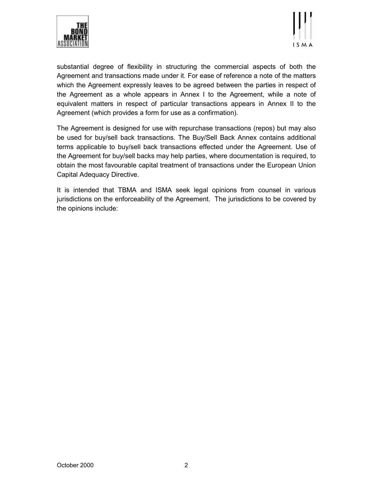



substantial degree of flexibility in structuring the commercial aspects of both the Agreement and transactions made under it. For ease of reference a note of the matters which the Agreement expressly leaves to be agreed between the parties in respect of the Agreement as a whole appears in Annex I to the Agreement, while a note of equivalent matters in respect of particular transactions appears in Annex II to the Agreement (which provides a form for use as a confirmation).

The Agreement is designed for use with repurchase transactions (repos) but may also be used for buy/sell back transactions. The Buy/Sell Back Annex contains additional terms applicable to buy/sell back transactions effected under the Agreement. Use of the Agreement for buy/sell backs may help parties, where documentation is required, to obtain the most favourable capital treatment of transactions under the European Union Capital Adequacy Directive.

It is intended that TBMA and ISMA seek legal opinions from counsel in various jurisdictions on the enforceability of the Agreement. The jurisdictions to be covered by the opinions include: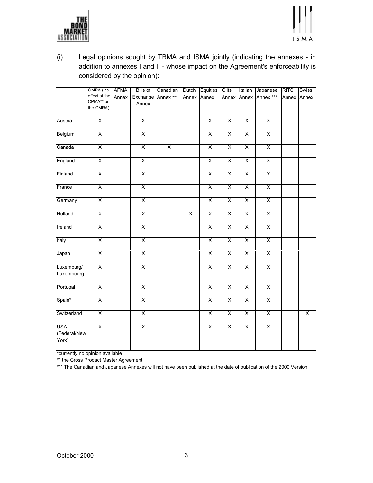



(i) Legal opinions sought by TBMA and ISMA jointly (indicating the annexes - in addition to annexes I and II - whose impact on the Agreement's enforceability is considered by the opinion):

|                                     | GMRA (incl. AFMA        |       | Bills of                | Canadian                | Dutch | Equities                | Gilts                   | Italian                 | Japanese                | <b>RITS</b> | Swiss |
|-------------------------------------|-------------------------|-------|-------------------------|-------------------------|-------|-------------------------|-------------------------|-------------------------|-------------------------|-------------|-------|
|                                     | effect of the           | Annex | Exchange                | Annex ***               |       | Annex Annex             |                         | Annex Annex             | Annex ***               | Annex       | Annex |
|                                     | CPMA** on               |       | Annex                   |                         |       |                         |                         |                         |                         |             |       |
|                                     | the GMRA)               |       |                         |                         |       |                         |                         |                         |                         |             |       |
| Austria                             | $\overline{\mathsf{x}}$ |       | $\overline{\mathsf{x}}$ |                         |       | X                       | $\overline{\mathsf{x}}$ | $\overline{\mathsf{x}}$ | $\overline{\mathsf{x}}$ |             |       |
| Belgium                             | $\overline{X}$          |       | $\overline{X}$          |                         |       | $\overline{\mathsf{x}}$ | $\overline{X}$          | $\overline{\mathsf{x}}$ | $\overline{\mathsf{x}}$ |             |       |
| Canada                              | $\overline{X}$          |       | $\overline{X}$          | $\overline{\mathsf{x}}$ |       | $\overline{X}$          | $\overline{\mathsf{x}}$ | $\overline{\mathsf{x}}$ | $\overline{\mathsf{x}}$ |             |       |
| England                             | $\overline{X}$          |       | $\overline{X}$          |                         |       | $\overline{X}$          | $\overline{\mathsf{X}}$ | $\overline{\mathsf{x}}$ | $\overline{\mathsf{x}}$ |             |       |
| Finland                             | $\overline{X}$          |       | $\overline{\mathsf{x}}$ |                         |       | $\overline{\mathsf{x}}$ | $\overline{X}$          | $\overline{\mathsf{x}}$ | $\overline{\mathsf{x}}$ |             |       |
| France                              | $\overline{\mathsf{x}}$ |       | $\overline{\mathsf{x}}$ |                         |       | X                       | $\overline{\mathsf{x}}$ | $\overline{\mathsf{x}}$ | $\overline{\mathsf{x}}$ |             |       |
| Germany                             | $\overline{\mathsf{x}}$ |       | $\overline{\mathsf{x}}$ |                         |       | $\overline{X}$          | $\overline{\mathsf{x}}$ | $\overline{\mathsf{x}}$ | $\overline{\mathsf{x}}$ |             |       |
| Holland                             | $\overline{X}$          |       | $\overline{\mathsf{x}}$ |                         | X     | $\overline{\mathsf{x}}$ | $\overline{\mathsf{x}}$ | $\overline{\mathsf{x}}$ | $\overline{\mathsf{x}}$ |             |       |
| Ireland                             | $\overline{X}$          |       | $\overline{X}$          |                         |       | $\overline{\mathsf{x}}$ | $\overline{X}$          | $\overline{\mathsf{x}}$ | $\overline{\mathsf{x}}$ |             |       |
| Italy                               | $\overline{\mathsf{x}}$ |       | $\overline{X}$          |                         |       | $\overline{\mathsf{x}}$ | $\overline{X}$          | $\overline{\mathsf{x}}$ | $\overline{\mathsf{x}}$ |             |       |
| Japan                               | $\overline{X}$          |       | $\overline{\mathsf{X}}$ |                         |       | χ                       | $\overline{\mathsf{X}}$ | $\overline{\mathsf{x}}$ | $\overline{X}$          |             |       |
| Luxemburg/<br>Luxembourg            | $\overline{X}$          |       | $\overline{X}$          |                         |       | $\overline{\mathsf{x}}$ | χ                       | $\overline{\mathsf{x}}$ | $\overline{X}$          |             |       |
| Portugal                            | $\overline{\mathsf{x}}$ |       | $\overline{\mathsf{x}}$ |                         |       | $\overline{\mathsf{x}}$ | $\overline{\mathsf{x}}$ | $\overline{\mathsf{x}}$ | $\overline{\mathsf{x}}$ |             |       |
| Spain*                              | $\overline{\mathsf{x}}$ |       | $\overline{\mathsf{x}}$ |                         |       | X                       | $\overline{\mathsf{x}}$ | $\overline{\mathsf{x}}$ | $\overline{\mathsf{x}}$ |             |       |
| Switzerland                         | $\overline{\mathsf{x}}$ |       | $\overline{\mathsf{x}}$ |                         |       | $\overline{X}$          | $\overline{\mathsf{x}}$ | X                       | $\overline{X}$          |             | X     |
| <b>USA</b><br>(Federal/New<br>York) | $\overline{X}$          |       | $\overline{X}$          |                         |       | $\overline{\mathsf{X}}$ | $\overline{X}$          | $\overline{\mathsf{x}}$ | $\overline{X}$          |             |       |

\*currently no opinion available

\*\* the Cross Product Master Agreement

\*\*\* The Canadian and Japanese Annexes will not have been published at the date of publication of the 2000 Version.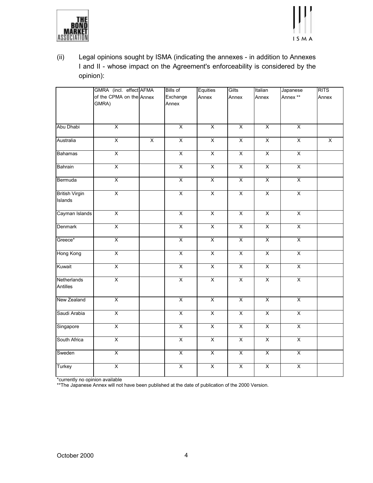



(ii) Legal opinions sought by ISMA (indicating the annexes - in addition to Annexes I and II - whose impact on the Agreement's enforceability is considered by the opinion):

|                                  | GMRA (incl. effect AFMA           |                | <b>Bills of</b>         | Equities                | Gilts                   | Italian                 | Japanese                | <b>RITS</b>             |
|----------------------------------|-----------------------------------|----------------|-------------------------|-------------------------|-------------------------|-------------------------|-------------------------|-------------------------|
|                                  | of the CPMA on the Annex<br>GMRA) |                | Exchange<br>Annex       | Annex                   | Annex                   | Annex                   | Annex **                | Annex                   |
|                                  |                                   |                |                         |                         |                         |                         |                         |                         |
| Abu Dhabi                        | $\overline{X}$                    |                | $\overline{\mathsf{x}}$ | $\overline{X}$          | $\overline{\mathsf{x}}$ | $\overline{\mathsf{x}}$ | $\overline{\mathsf{x}}$ |                         |
| Australia                        | $\overline{X}$                    | $\overline{X}$ | $\overline{X}$          | $\overline{X}$          | $\overline{X}$          | $\overline{\mathsf{x}}$ | $\overline{\mathsf{x}}$ | $\overline{\mathsf{x}}$ |
| <b>Bahamas</b>                   | $\overline{\mathsf{x}}$           |                | $\overline{\mathsf{x}}$ | $\overline{X}$          | $\overline{X}$          | $\overline{X}$          | $\overline{\mathsf{x}}$ |                         |
| Bahrain                          | $\overline{\mathsf{x}}$           |                | $\overline{\mathsf{x}}$ | $\overline{X}$          | $\overline{\mathsf{x}}$ | $\overline{X}$          | $\overline{X}$          |                         |
| Bermuda                          | $\overline{X}$                    |                | $\overline{\mathsf{x}}$ | $\overline{X}$          | $\overline{\mathsf{x}}$ | $\overline{X}$          | $\overline{X}$          |                         |
| <b>British Virgin</b><br>Islands | $\overline{\mathsf{x}}$           |                | $\overline{\mathsf{x}}$ | $\overline{X}$          | $\overline{\mathsf{x}}$ | $\overline{\mathsf{x}}$ | $\overline{X}$          |                         |
| Cayman Islands                   | $\overline{\mathsf{x}}$           |                | $\overline{\mathsf{x}}$ | $\overline{\mathsf{x}}$ | $\overline{\mathsf{x}}$ | $\overline{\mathsf{x}}$ | $\overline{\mathsf{x}}$ |                         |
| Denmark                          | $\overline{X}$                    |                | $\overline{X}$          | $\overline{X}$          | $\overline{X}$          | $\overline{X}$          | $\overline{X}$          |                         |
| Greece*                          | $\overline{X}$                    |                | $\overline{\mathsf{x}}$ | $\overline{X}$          | $\overline{\mathsf{x}}$ | $\overline{\mathsf{x}}$ | $\overline{X}$          |                         |
| Hong Kong                        | $\overline{\mathsf{x}}$           |                | $\overline{\mathsf{x}}$ | $\overline{X}$          | $\overline{X}$          | $\overline{\mathsf{x}}$ | $\overline{\mathsf{x}}$ |                         |
| Kuwait                           | $\overline{\mathsf{X}}$           |                | $\overline{\mathsf{x}}$ | $\overline{X}$          | $\overline{\mathsf{x}}$ | $\overline{\mathsf{x}}$ | $\overline{X}$          |                         |
| Netherlands<br>Antilles          | $\overline{X}$                    |                | $\overline{\mathsf{X}}$ | $\overline{\mathsf{x}}$ | $\overline{\mathsf{x}}$ | $\overline{\mathsf{x}}$ | $\overline{\mathsf{X}}$ |                         |
| New Zealand                      | $\overline{X}$                    |                | $\overline{\mathsf{X}}$ | $\overline{X}$          | $\overline{X}$          | $\overline{X}$          | $\overline{X}$          |                         |
| Saudi Arabia                     | $\overline{\mathsf{X}}$           |                | $\overline{\mathsf{x}}$ | $\overline{X}$          | $\overline{\mathsf{x}}$ | $\overline{\mathsf{x}}$ | $\overline{X}$          |                         |
| Singapore                        | $\overline{\mathsf{X}}$           |                | $\overline{\mathsf{x}}$ | $\overline{X}$          | $\overline{X}$          | $\overline{X}$          | $\overline{X}$          |                         |
| South Africa                     | $\overline{X}$                    |                | $\overline{X}$          | $\overline{X}$          | $\overline{X}$          | $\overline{X}$          | $\overline{X}$          |                         |
| Sweden                           | $\overline{\mathsf{x}}$           |                | $\overline{\mathsf{x}}$ | $\overline{\mathsf{x}}$ | $\overline{\mathsf{x}}$ | $\overline{\mathsf{x}}$ | $\overline{\mathsf{x}}$ |                         |
| Turkey                           | $\overline{X}$                    |                | $\overline{\mathsf{x}}$ | $\overline{X}$          | $\overline{\mathsf{x}}$ | $\overline{\mathsf{x}}$ | $\overline{X}$          |                         |

\*currently no opinion available

\*\*The Japanese Annex will not have been published at the date of publication of the 2000 Version.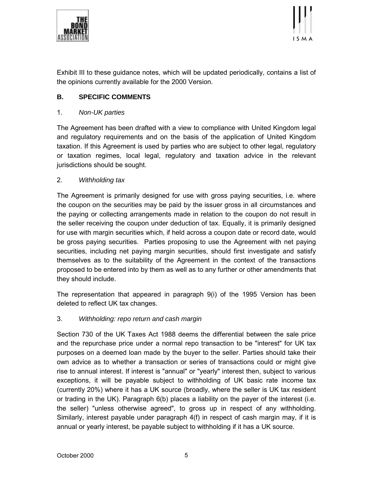



Exhibit III to these guidance notes, which will be updated periodically, contains a list of the opinions currently available for the 2000 Version.

# **B. SPECIFIC COMMENTS**

## 1. *Non-UK parties*

The Agreement has been drafted with a view to compliance with United Kingdom legal and regulatory requirements and on the basis of the application of United Kingdom taxation. If this Agreement is used by parties who are subject to other legal, regulatory or taxation regimes, local legal, regulatory and taxation advice in the relevant jurisdictions should be sought.

## 2. *Withholding tax*

The Agreement is primarily designed for use with gross paying securities, i.e. where the coupon on the securities may be paid by the issuer gross in all circumstances and the paying or collecting arrangements made in relation to the coupon do not result in the seller receiving the coupon under deduction of tax. Equally, it is primarily designed for use with margin securities which, if held across a coupon date or record date, would be gross paying securities. Parties proposing to use the Agreement with net paying securities, including net paying margin securities, should first investigate and satisfy themselves as to the suitability of the Agreement in the context of the transactions proposed to be entered into by them as well as to any further or other amendments that they should include.

The representation that appeared in paragraph 9(i) of the 1995 Version has been deleted to reflect UK tax changes.

## 3. *Withholding: repo return and cash margin*

Section 730 of the UK Taxes Act 1988 deems the differential between the sale price and the repurchase price under a normal repo transaction to be "interest" for UK tax purposes on a deemed loan made by the buyer to the seller. Parties should take their own advice as to whether a transaction or series of transactions could or might give rise to annual interest. If interest is "annual" or "yearly" interest then, subject to various exceptions, it will be payable subject to withholding of UK basic rate income tax (currently 20%) where it has a UK source (broadly, where the seller is UK tax resident or trading in the UK). Paragraph 6(b) places a liability on the payer of the interest (i.e. the seller) "unless otherwise agreed", to gross up in respect of any withholding. Similarly, interest payable under paragraph 4(f) in respect of cash margin may, if it is annual or yearly interest, be payable subject to withholding if it has a UK source.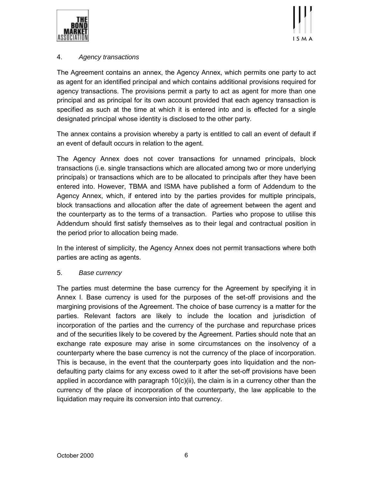



# 4. *Agency transactions*

The Agreement contains an annex, the Agency Annex, which permits one party to act as agent for an identified principal and which contains additional provisions required for agency transactions. The provisions permit a party to act as agent for more than one principal and as principal for its own account provided that each agency transaction is specified as such at the time at which it is entered into and is effected for a single designated principal whose identity is disclosed to the other party.

The annex contains a provision whereby a party is entitled to call an event of default if an event of default occurs in relation to the agent.

The Agency Annex does not cover transactions for unnamed principals, block transactions (i.e. single transactions which are allocated among two or more underlying principals) or transactions which are to be allocated to principals after they have been entered into. However, TBMA and ISMA have published a form of Addendum to the Agency Annex, which, if entered into by the parties provides for multiple principals, block transactions and allocation after the date of agreement between the agent and the counterparty as to the terms of a transaction. Parties who propose to utilise this Addendum should first satisfy themselves as to their legal and contractual position in the period prior to allocation being made.

In the interest of simplicity, the Agency Annex does not permit transactions where both parties are acting as agents.

## 5. *Base currency*

The parties must determine the base currency for the Agreement by specifying it in Annex I. Base currency is used for the purposes of the set-off provisions and the margining provisions of the Agreement. The choice of base currency is a matter for the parties. Relevant factors are likely to include the location and jurisdiction of incorporation of the parties and the currency of the purchase and repurchase prices and of the securities likely to be covered by the Agreement. Parties should note that an exchange rate exposure may arise in some circumstances on the insolvency of a counterparty where the base currency is not the currency of the place of incorporation. This is because, in the event that the counterparty goes into liquidation and the nondefaulting party claims for any excess owed to it after the set-off provisions have been applied in accordance with paragraph  $10(c)(ii)$ , the claim is in a currency other than the currency of the place of incorporation of the counterparty, the law applicable to the liquidation may require its conversion into that currency.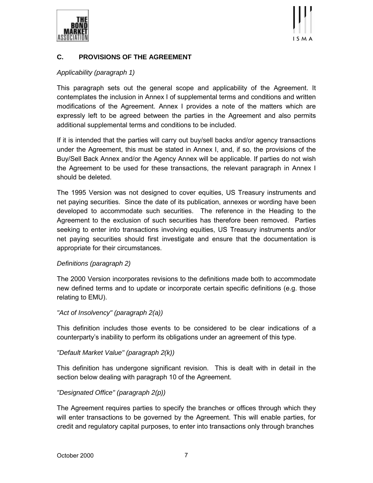



# **C. PROVISIONS OF THE AGREEMENT**

## *Applicability (paragraph 1)*

This paragraph sets out the general scope and applicability of the Agreement. It contemplates the inclusion in Annex I of supplemental terms and conditions and written modifications of the Agreement. Annex I provides a note of the matters which are expressly left to be agreed between the parties in the Agreement and also permits additional supplemental terms and conditions to be included.

If it is intended that the parties will carry out buy/sell backs and/or agency transactions under the Agreement, this must be stated in Annex I, and, if so, the provisions of the Buy/Sell Back Annex and/or the Agency Annex will be applicable. If parties do not wish the Agreement to be used for these transactions, the relevant paragraph in Annex I should be deleted.

The 1995 Version was not designed to cover equities, US Treasury instruments and net paying securities. Since the date of its publication, annexes or wording have been developed to accommodate such securities. The reference in the Heading to the Agreement to the exclusion of such securities has therefore been removed. Parties seeking to enter into transactions involving equities, US Treasury instruments and/or net paying securities should first investigate and ensure that the documentation is appropriate for their circumstances.

## *Definitions (paragraph 2)*

The 2000 Version incorporates revisions to the definitions made both to accommodate new defined terms and to update or incorporate certain specific definitions (e.g. those relating to EMU).

## *"Act of Insolvency" (paragraph 2(a))*

This definition includes those events to be considered to be clear indications of a counterpartyís inability to perform its obligations under an agreement of this type.

## *"Default Market Value" (paragraph 2(k))*

This definition has undergone significant revision. This is dealt with in detail in the section below dealing with paragraph 10 of the Agreement.

# *"Designated Office" (paragraph 2(p))*

The Agreement requires parties to specify the branches or offices through which they will enter transactions to be governed by the Agreement. This will enable parties, for credit and regulatory capital purposes, to enter into transactions only through branches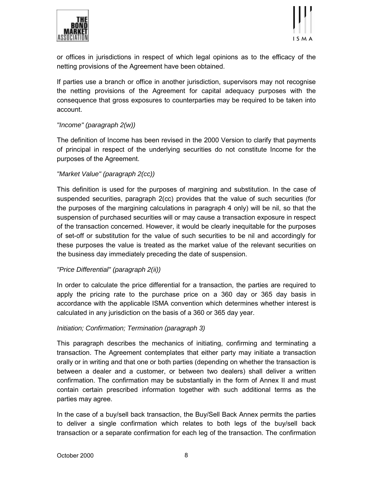



or offices in jurisdictions in respect of which legal opinions as to the efficacy of the netting provisions of the Agreement have been obtained.

If parties use a branch or office in another jurisdiction, supervisors may not recognise the netting provisions of the Agreement for capital adequacy purposes with the consequence that gross exposures to counterparties may be required to be taken into account.

## *"Income" (paragraph 2(w))*

The definition of Income has been revised in the 2000 Version to clarify that payments of principal in respect of the underlying securities do not constitute Income for the purposes of the Agreement.

## *"Market Value" (paragraph 2(cc))*

This definition is used for the purposes of margining and substitution. In the case of suspended securities, paragraph 2(cc) provides that the value of such securities (for the purposes of the margining calculations in paragraph 4 only) will be nil, so that the suspension of purchased securities will or may cause a transaction exposure in respect of the transaction concerned. However, it would be clearly inequitable for the purposes of set-off or substitution for the value of such securities to be nil and accordingly for these purposes the value is treated as the market value of the relevant securities on the business day immediately preceding the date of suspension.

## *"Price Differential" (paragraph 2(ii))*

In order to calculate the price differential for a transaction, the parties are required to apply the pricing rate to the purchase price on a 360 day or 365 day basis in accordance with the applicable ISMA convention which determines whether interest is calculated in any jurisdiction on the basis of a 360 or 365 day year.

#### *Initiation; Confirmation; Termination (paragraph 3)*

This paragraph describes the mechanics of initiating, confirming and terminating a transaction. The Agreement contemplates that either party may initiate a transaction orally or in writing and that one or both parties (depending on whether the transaction is between a dealer and a customer, or between two dealers) shall deliver a written confirmation. The confirmation may be substantially in the form of Annex II and must contain certain prescribed information together with such additional terms as the parties may agree.

In the case of a buy/sell back transaction, the Buy/Sell Back Annex permits the parties to deliver a single confirmation which relates to both legs of the buy/sell back transaction or a separate confirmation for each leg of the transaction. The confirmation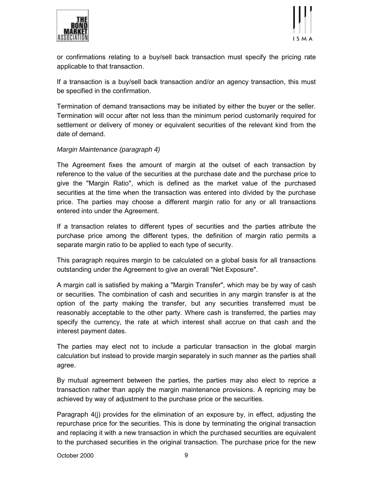



or confirmations relating to a buy/sell back transaction must specify the pricing rate applicable to that transaction.

If a transaction is a buy/sell back transaction and/or an agency transaction, this must be specified in the confirmation.

Termination of demand transactions may be initiated by either the buyer or the seller. Termination will occur after not less than the minimum period customarily required for settlement or delivery of money or equivalent securities of the relevant kind from the date of demand.

## *Margin Maintenance (paragraph 4)*

The Agreement fixes the amount of margin at the outset of each transaction by reference to the value of the securities at the purchase date and the purchase price to give the "Margin Ratio", which is defined as the market value of the purchased securities at the time when the transaction was entered into divided by the purchase price. The parties may choose a different margin ratio for any or all transactions entered into under the Agreement.

If a transaction relates to different types of securities and the parties attribute the purchase price among the different types, the definition of margin ratio permits a separate margin ratio to be applied to each type of security.

This paragraph requires margin to be calculated on a global basis for all transactions outstanding under the Agreement to give an overall "Net Exposure".

A margin call is satisfied by making a "Margin Transfer", which may be by way of cash or securities. The combination of cash and securities in any margin transfer is at the option of the party making the transfer, but any securities transferred must be reasonably acceptable to the other party. Where cash is transferred, the parties may specify the currency, the rate at which interest shall accrue on that cash and the interest payment dates.

The parties may elect not to include a particular transaction in the global margin calculation but instead to provide margin separately in such manner as the parties shall agree.

By mutual agreement between the parties, the parties may also elect to reprice a transaction rather than apply the margin maintenance provisions. A repricing may be achieved by way of adjustment to the purchase price or the securities.

Paragraph 4(j) provides for the elimination of an exposure by, in effect, adjusting the repurchase price for the securities. This is done by terminating the original transaction and replacing it with a new transaction in which the purchased securities are equivalent to the purchased securities in the original transaction. The purchase price for the new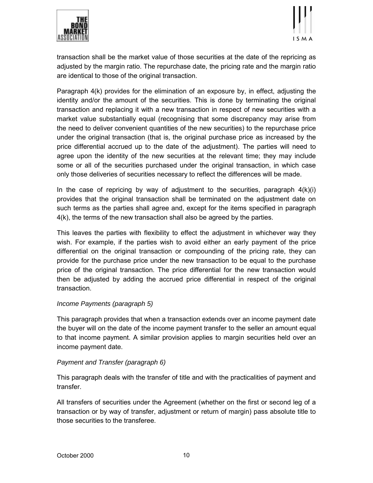



transaction shall be the market value of those securities at the date of the repricing as adjusted by the margin ratio. The repurchase date, the pricing rate and the margin ratio are identical to those of the original transaction.

Paragraph 4(k) provides for the elimination of an exposure by, in effect, adjusting the identity and/or the amount of the securities. This is done by terminating the original transaction and replacing it with a new transaction in respect of new securities with a market value substantially equal (recognising that some discrepancy may arise from the need to deliver convenient quantities of the new securities) to the repurchase price under the original transaction (that is, the original purchase price as increased by the price differential accrued up to the date of the adjustment). The parties will need to agree upon the identity of the new securities at the relevant time; they may include some or all of the securities purchased under the original transaction, in which case only those deliveries of securities necessary to reflect the differences will be made.

In the case of repricing by way of adjustment to the securities, paragraph  $4(k)(i)$ provides that the original transaction shall be terminated on the adjustment date on such terms as the parties shall agree and, except for the items specified in paragraph 4(k), the terms of the new transaction shall also be agreed by the parties.

This leaves the parties with flexibility to effect the adjustment in whichever way they wish. For example, if the parties wish to avoid either an early payment of the price differential on the original transaction or compounding of the pricing rate, they can provide for the purchase price under the new transaction to be equal to the purchase price of the original transaction. The price differential for the new transaction would then be adjusted by adding the accrued price differential in respect of the original transaction.

## *Income Payments (paragraph 5)*

This paragraph provides that when a transaction extends over an income payment date the buyer will on the date of the income payment transfer to the seller an amount equal to that income payment. A similar provision applies to margin securities held over an income payment date.

## *Payment and Transfer (paragraph 6)*

This paragraph deals with the transfer of title and with the practicalities of payment and transfer.

All transfers of securities under the Agreement (whether on the first or second leg of a transaction or by way of transfer, adjustment or return of margin) pass absolute title to those securities to the transferee.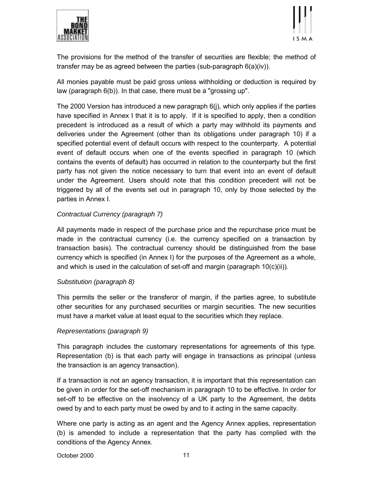



The provisions for the method of the transfer of securities are flexible; the method of transfer may be as agreed between the parties (sub-paragraph 6(a)(iv)).

All monies payable must be paid gross unless withholding or deduction is required by law (paragraph 6(b)). In that case, there must be a "grossing up".

The 2000 Version has introduced a new paragraph 6(j), which only applies if the parties have specified in Annex I that it is to apply. If it is specified to apply, then a condition precedent is introduced as a result of which a party may withhold its payments and deliveries under the Agreement (other than its obligations under paragraph 10) if a specified potential event of default occurs with respect to the counterparty. A potential event of default occurs when one of the events specified in paragraph 10 (which contains the events of default) has occurred in relation to the counterparty but the first party has not given the notice necessary to turn that event into an event of default under the Agreement. Users should note that this condition precedent will not be triggered by all of the events set out in paragraph 10, only by those selected by the parties in Annex I.

## *Contractual Currency (paragraph 7)*

All payments made in respect of the purchase price and the repurchase price must be made in the contractual currency (i.e. the currency specified on a transaction by transaction basis). The contractual currency should be distinguished from the base currency which is specified (in Annex I) for the purposes of the Agreement as a whole, and which is used in the calculation of set-off and margin (paragraph  $10(c)(ii)$ ).

## *Substitution (paragraph 8)*

This permits the seller or the transferor of margin, if the parties agree, to substitute other securities for any purchased securities or margin securities. The new securities must have a market value at least equal to the securities which they replace.

## *Representations (paragraph 9)*

This paragraph includes the customary representations for agreements of this type. Representation (b) is that each party will engage in transactions as principal (unless the transaction is an agency transaction).

If a transaction is not an agency transaction, it is important that this representation can be given in order for the set-off mechanism in paragraph 10 to be effective. In order for set-off to be effective on the insolvency of a UK party to the Agreement, the debts owed by and to each party must be owed by and to it acting in the same capacity.

Where one party is acting as an agent and the Agency Annex applies, representation (b) is amended to include a representation that the party has complied with the conditions of the Agency Annex.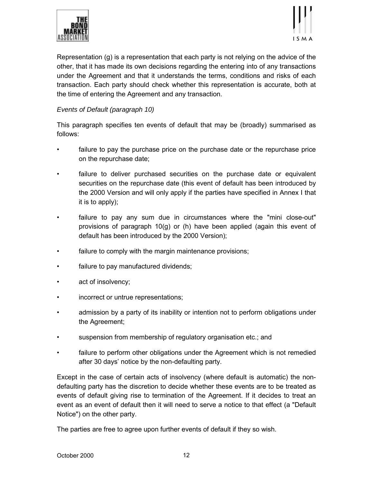



Representation (g) is a representation that each party is not relying on the advice of the other, that it has made its own decisions regarding the entering into of any transactions under the Agreement and that it understands the terms, conditions and risks of each transaction. Each party should check whether this representation is accurate, both at the time of entering the Agreement and any transaction.

## *Events of Default (paragraph 10)*

This paragraph specifies ten events of default that may be (broadly) summarised as follows:

- failure to pay the purchase price on the purchase date or the repurchase price on the repurchase date;
- failure to deliver purchased securities on the purchase date or equivalent securities on the repurchase date (this event of default has been introduced by the 2000 Version and will only apply if the parties have specified in Annex I that it is to apply);
- failure to pay any sum due in circumstances where the "mini close-out" provisions of paragraph 10(g) or (h) have been applied (again this event of default has been introduced by the 2000 Version);
- failure to comply with the margin maintenance provisions;
- failure to pay manufactured dividends;
- act of insolvency;
- incorrect or untrue representations;
- admission by a party of its inability or intention not to perform obligations under the Agreement;
- suspension from membership of regulatory organisation etc.; and
- failure to perform other obligations under the Agreement which is not remedied after 30 days' notice by the non-defaulting party.

Except in the case of certain acts of insolvency (where default is automatic) the nondefaulting party has the discretion to decide whether these events are to be treated as events of default giving rise to termination of the Agreement. If it decides to treat an event as an event of default then it will need to serve a notice to that effect (a "Default Notice") on the other party.

The parties are free to agree upon further events of default if they so wish.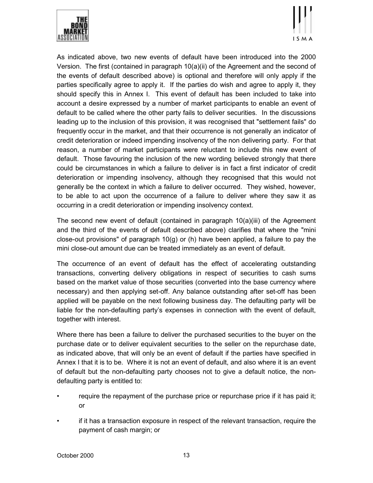



As indicated above, two new events of default have been introduced into the 2000 Version. The first (contained in paragraph 10(a)(ii) of the Agreement and the second of the events of default described above) is optional and therefore will only apply if the parties specifically agree to apply it. If the parties do wish and agree to apply it, they should specify this in Annex I. This event of default has been included to take into account a desire expressed by a number of market participants to enable an event of default to be called where the other party fails to deliver securities. In the discussions leading up to the inclusion of this provision, it was recognised that "settlement fails" do frequently occur in the market, and that their occurrence is not generally an indicator of credit deterioration or indeed impending insolvency of the non delivering party. For that reason, a number of market participants were reluctant to include this new event of default. Those favouring the inclusion of the new wording believed strongly that there could be circumstances in which a failure to deliver is in fact a first indicator of credit deterioration or impending insolvency, although they recognised that this would not generally be the context in which a failure to deliver occurred. They wished, however, to be able to act upon the occurrence of a failure to deliver where they saw it as occurring in a credit deterioration or impending insolvency context.

The second new event of default (contained in paragraph  $10(a)(iii)$  of the Agreement and the third of the events of default described above) clarifies that where the "mini close-out provisions" of paragraph  $10(q)$  or (h) have been applied, a failure to pay the mini close-out amount due can be treated immediately as an event of default.

The occurrence of an event of default has the effect of accelerating outstanding transactions, converting delivery obligations in respect of securities to cash sums based on the market value of those securities (converted into the base currency where necessary) and then applying set-off. Any balance outstanding after set-off has been applied will be payable on the next following business day. The defaulting party will be liable for the non-defaulting partyís expenses in connection with the event of default, together with interest.

Where there has been a failure to deliver the purchased securities to the buyer on the purchase date or to deliver equivalent securities to the seller on the repurchase date, as indicated above, that will only be an event of default if the parties have specified in Annex I that it is to be. Where it is not an event of default, and also where it is an event of default but the non-defaulting party chooses not to give a default notice, the nondefaulting party is entitled to:

- require the repayment of the purchase price or repurchase price if it has paid it; or
- ï if it has a transaction exposure in respect of the relevant transaction, require the payment of cash margin; or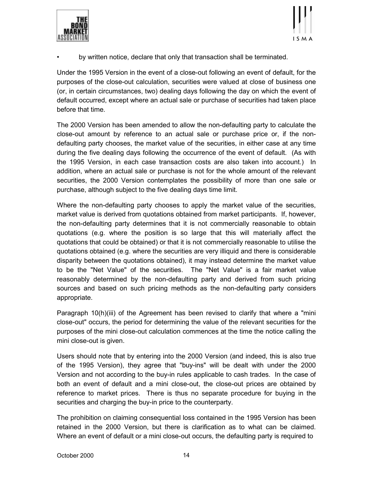



by written notice, declare that only that transaction shall be terminated.

Under the 1995 Version in the event of a close-out following an event of default, for the purposes of the close-out calculation, securities were valued at close of business one (or, in certain circumstances, two) dealing days following the day on which the event of default occurred, except where an actual sale or purchase of securities had taken place before that time.

The 2000 Version has been amended to allow the non-defaulting party to calculate the close-out amount by reference to an actual sale or purchase price or, if the nondefaulting party chooses, the market value of the securities, in either case at any time during the five dealing days following the occurrence of the event of default. (As with the 1995 Version, in each case transaction costs are also taken into account.) In addition, where an actual sale or purchase is not for the whole amount of the relevant securities, the 2000 Version contemplates the possibility of more than one sale or purchase, although subject to the five dealing days time limit.

Where the non-defaulting party chooses to apply the market value of the securities, market value is derived from quotations obtained from market participants. If, however, the non-defaulting party determines that it is not commercially reasonable to obtain quotations (e.g. where the position is so large that this will materially affect the quotations that could be obtained) or that it is not commercially reasonable to utilise the quotations obtained (e.g. where the securities are very illiquid and there is considerable disparity between the quotations obtained), it may instead determine the market value to be the "Net Value" of the securities. The "Net Value" is a fair market value reasonably determined by the non-defaulting party and derived from such pricing sources and based on such pricing methods as the non-defaulting party considers appropriate.

Paragraph 10(h)(iii) of the Agreement has been revised to clarify that where a "mini close-out" occurs, the period for determining the value of the relevant securities for the purposes of the mini close-out calculation commences at the time the notice calling the mini close-out is given.

Users should note that by entering into the 2000 Version (and indeed, this is also true of the 1995 Version), they agree that "buy-ins" will be dealt with under the 2000 Version and not according to the buy-in rules applicable to cash trades. In the case of both an event of default and a mini close-out, the close-out prices are obtained by reference to market prices. There is thus no separate procedure for buying in the securities and charging the buy-in price to the counterparty.

The prohibition on claiming consequential loss contained in the 1995 Version has been retained in the 2000 Version, but there is clarification as to what can be claimed. Where an event of default or a mini close-out occurs, the defaulting party is required to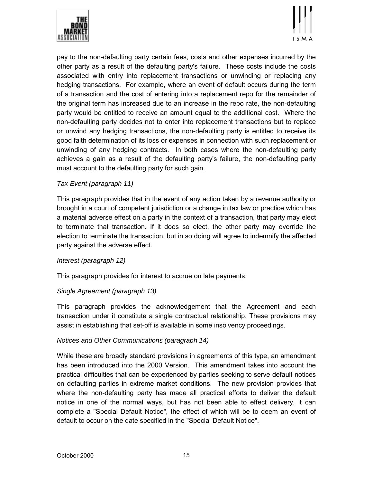



pay to the non-defaulting party certain fees, costs and other expenses incurred by the other party as a result of the defaulting party's failure. These costs include the costs associated with entry into replacement transactions or unwinding or replacing any hedging transactions. For example, where an event of default occurs during the term of a transaction and the cost of entering into a replacement repo for the remainder of the original term has increased due to an increase in the repo rate, the non-defaulting party would be entitled to receive an amount equal to the additional cost. Where the non-defaulting party decides not to enter into replacement transactions but to replace or unwind any hedging transactions, the non-defaulting party is entitled to receive its good faith determination of its loss or expenses in connection with such replacement or unwinding of any hedging contracts. In both cases where the non-defaulting party achieves a gain as a result of the defaulting party's failure, the non-defaulting party must account to the defaulting party for such gain.

## *Tax Event (paragraph 11)*

This paragraph provides that in the event of any action taken by a revenue authority or brought in a court of competent jurisdiction or a change in tax law or practice which has a material adverse effect on a party in the context of a transaction, that party may elect to terminate that transaction. If it does so elect, the other party may override the election to terminate the transaction, but in so doing will agree to indemnify the affected party against the adverse effect.

## *Interest (paragraph 12)*

This paragraph provides for interest to accrue on late payments.

# *Single Agreement (paragraph 13)*

This paragraph provides the acknowledgement that the Agreement and each transaction under it constitute a single contractual relationship. These provisions may assist in establishing that set-off is available in some insolvency proceedings.

# *Notices and Other Communications (paragraph 14)*

While these are broadly standard provisions in agreements of this type, an amendment has been introduced into the 2000 Version. This amendment takes into account the practical difficulties that can be experienced by parties seeking to serve default notices on defaulting parties in extreme market conditions. The new provision provides that where the non-defaulting party has made all practical efforts to deliver the default notice in one of the normal ways, but has not been able to effect delivery, it can complete a "Special Default Notice", the effect of which will be to deem an event of default to occur on the date specified in the "Special Default Notice".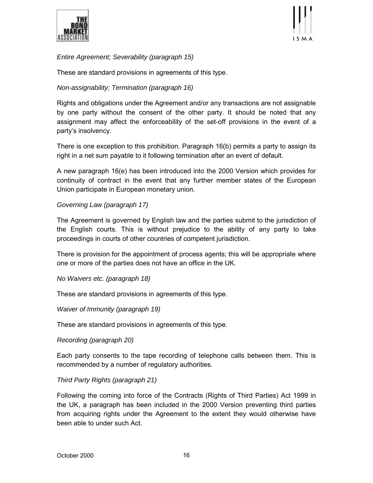



*Entire Agreement; Severability (paragraph 15)*

These are standard provisions in agreements of this type.

# *Non-assignability; Termination (paragraph 16)*

Rights and obligations under the Agreement and/or any transactions are not assignable by one party without the consent of the other party. It should be noted that any assignment may affect the enforceability of the set-off provisions in the event of a party's insolvency.

There is one exception to this prohibition. Paragraph 16(b) permits a party to assign its right in a net sum payable to it following termination after an event of default.

A new paragraph 16(e) has been introduced into the 2000 Version which provides for continuity of contract in the event that any further member states of the European Union participate in European monetary union.

## *Governing Law (paragraph 17)*

The Agreement is governed by English law and the parties submit to the jurisdiction of the English courts. This is without prejudice to the ability of any party to take proceedings in courts of other countries of competent jurisdiction.

There is provision for the appointment of process agents; this will be appropriate where one or more of the parties does not have an office in the UK.

*No Waivers etc. (paragraph 18)*

These are standard provisions in agreements of this type.

*Waiver of Immunity (paragraph 19)*

These are standard provisions in agreements of this type.

*Recording (paragraph 20)*

Each party consents to the tape recording of telephone calls between them. This is recommended by a number of regulatory authorities.

# *Third Party Rights (paragraph 21)*

Following the coming into force of the Contracts (Rights of Third Parties) Act 1999 in the UK, a paragraph has been included in the 2000 Version preventing third parties from acquiring rights under the Agreement to the extent they would otherwise have been able to under such Act.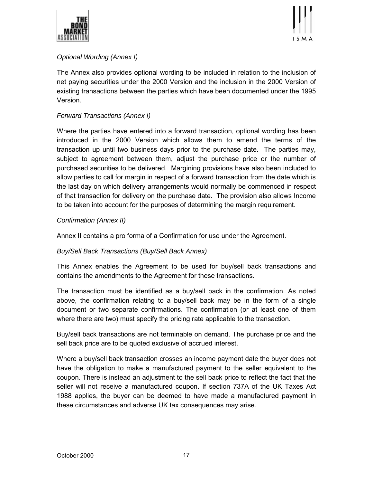



# *Optional Wording (Annex I)*

The Annex also provides optional wording to be included in relation to the inclusion of net paying securities under the 2000 Version and the inclusion in the 2000 Version of existing transactions between the parties which have been documented under the 1995 Version.

## *Forward Transactions (Annex I)*

Where the parties have entered into a forward transaction, optional wording has been introduced in the 2000 Version which allows them to amend the terms of the transaction up until two business days prior to the purchase date. The parties may, subject to agreement between them, adjust the purchase price or the number of purchased securities to be delivered. Margining provisions have also been included to allow parties to call for margin in respect of a forward transaction from the date which is the last day on which delivery arrangements would normally be commenced in respect of that transaction for delivery on the purchase date. The provision also allows Income to be taken into account for the purposes of determining the margin requirement.

## *Confirmation (Annex II)*

Annex II contains a pro forma of a Confirmation for use under the Agreement.

# *Buy/Sell Back Transactions (Buy/Sell Back Annex)*

This Annex enables the Agreement to be used for buy/sell back transactions and contains the amendments to the Agreement for these transactions.

The transaction must be identified as a buy/sell back in the confirmation. As noted above, the confirmation relating to a buy/sell back may be in the form of a single document or two separate confirmations. The confirmation (or at least one of them where there are two) must specify the pricing rate applicable to the transaction.

Buy/sell back transactions are not terminable on demand. The purchase price and the sell back price are to be quoted exclusive of accrued interest.

Where a buy/sell back transaction crosses an income payment date the buyer does not have the obligation to make a manufactured payment to the seller equivalent to the coupon. There is instead an adjustment to the sell back price to reflect the fact that the seller will not receive a manufactured coupon. If section 737A of the UK Taxes Act 1988 applies, the buyer can be deemed to have made a manufactured payment in these circumstances and adverse UK tax consequences may arise.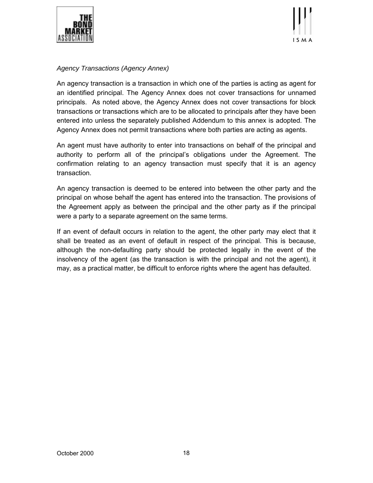



## *Agency Transactions (Agency Annex)*

An agency transaction is a transaction in which one of the parties is acting as agent for an identified principal. The Agency Annex does not cover transactions for unnamed principals. As noted above, the Agency Annex does not cover transactions for block transactions or transactions which are to be allocated to principals after they have been entered into unless the separately published Addendum to this annex is adopted. The Agency Annex does not permit transactions where both parties are acting as agents.

An agent must have authority to enter into transactions on behalf of the principal and authority to perform all of the principalís obligations under the Agreement. The confirmation relating to an agency transaction must specify that it is an agency transaction.

An agency transaction is deemed to be entered into between the other party and the principal on whose behalf the agent has entered into the transaction. The provisions of the Agreement apply as between the principal and the other party as if the principal were a party to a separate agreement on the same terms.

If an event of default occurs in relation to the agent, the other party may elect that it shall be treated as an event of default in respect of the principal. This is because, although the non-defaulting party should be protected legally in the event of the insolvency of the agent (as the transaction is with the principal and not the agent), it may, as a practical matter, be difficult to enforce rights where the agent has defaulted.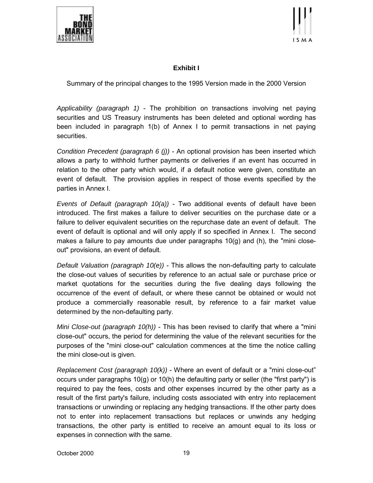



# **Exhibit I**

Summary of the principal changes to the 1995 Version made in the 2000 Version

*Applicability (paragraph 1)* - The prohibition on transactions involving net paying securities and US Treasury instruments has been deleted and optional wording has been included in paragraph 1(b) of Annex I to permit transactions in net paying securities.

*Condition Precedent (paragraph 6 (j))* - An optional provision has been inserted which allows a party to withhold further payments or deliveries if an event has occurred in relation to the other party which would, if a default notice were given, constitute an event of default. The provision applies in respect of those events specified by the parties in Annex I.

*Events of Default (paragraph 10(a))* - Two additional events of default have been introduced. The first makes a failure to deliver securities on the purchase date or a failure to deliver equivalent securities on the repurchase date an event of default. The event of default is optional and will only apply if so specified in Annex I. The second makes a failure to pay amounts due under paragraphs  $10(q)$  and (h), the "mini closeout" provisions, an event of default*.*

*Default Valuation (paragraph 10(e))* - This allows the non-defaulting party to calculate the close-out values of securities by reference to an actual sale or purchase price or market quotations for the securities during the five dealing days following the occurrence of the event of default, or where these cannot be obtained or would not produce a commercially reasonable result, by reference to a fair market value determined by the non-defaulting party.

*Mini Close-out (paragraph 10(h))* - This has been revised to clarify that where a "mini close-out" occurs, the period for determining the value of the relevant securities for the purposes of the "mini close-out" calculation commences at the time the notice calling the mini close-out is given.

*Replacement Cost (paragraph 10(k))* - Where an event of default or a "mini close-out" occurs under paragraphs 10(g) or 10(h) the defaulting party or seller (the "first party") is required to pay the fees, costs and other expenses incurred by the other party as a result of the first party's failure, including costs associated with entry into replacement transactions or unwinding or replacing any hedging transactions. If the other party does not to enter into replacement transactions but replaces or unwinds any hedging transactions, the other party is entitled to receive an amount equal to its loss or expenses in connection with the same.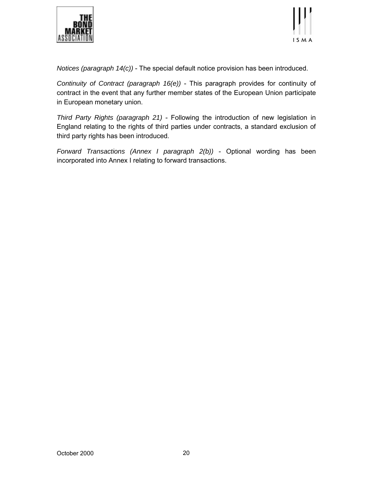



*Notices (paragraph 14(c))* - The special default notice provision has been introduced.

*Continuity of Contract (paragraph 16(e))* - This paragraph provides for continuity of contract in the event that any further member states of the European Union participate in European monetary union.

*Third Party Rights (paragraph 21)* - Following the introduction of new legislation in England relating to the rights of third parties under contracts, a standard exclusion of third party rights has been introduced.

*Forward Transactions (Annex I paragraph 2(b))* - Optional wording has been incorporated into Annex I relating to forward transactions.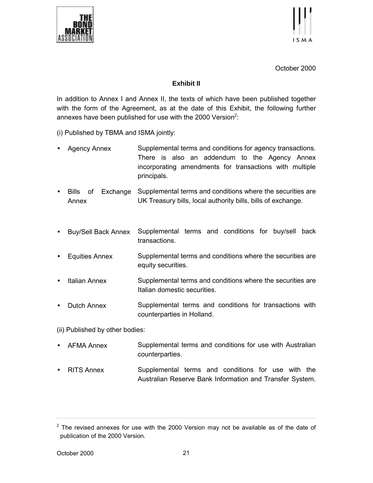



October 2000

## **Exhibit II**

In addition to Annex I and Annex II, the texts of which have been published together with the form of the Agreement, as at the date of this Exhibit, the following further annexes have been published for use with the 2000 Version<sup>2</sup>:

(i) Published by TBMA and ISMA jointly:

- Agency Annex Supplemental terms and conditions for agency transactions. There is also an addendum to the Agency Annex incorporating amendments for transactions with multiple principals.
- Bills of Exchange Annex Supplemental terms and conditions where the securities are UK Treasury bills, local authority bills, bills of exchange.
- Buy/Sell Back Annex Supplemental terms and conditions for buy/sell back transactions.
- Equities Annex Supplemental terms and conditions where the securities are equity securities.
- Italian Annex Supplemental terms and conditions where the securities are Italian domestic securities.
- Dutch Annex Supplemental terms and conditions for transactions with counterparties in Holland.

(ii) Published by other bodies:

- AFMA Annex Supplemental terms and conditions for use with Australian counterparties.
- RITS Annex Supplemental terms and conditions for use with the Australian Reserve Bank Information and Transfer System.

 $2$  The revised annexes for use with the 2000 Version may not be available as of the date of publication of the 2000 Version.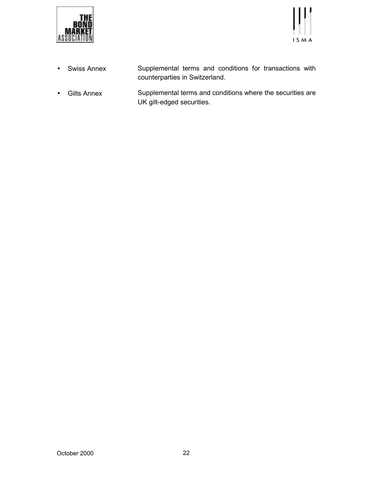



- Swiss Annex Supplemental terms and conditions for transactions with counterparties in Switzerland.
- Gilts Annex Supplemental terms and conditions where the securities are UK gilt-edged securities.